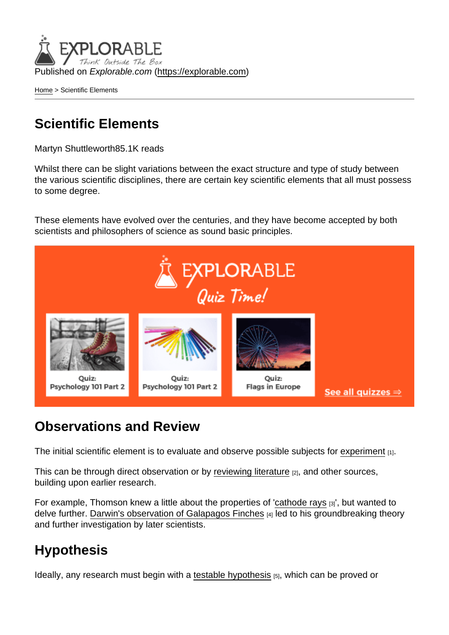Published on Explorable.com (<https://explorable.com>)

[Home](https://explorable.com/) > Scientific Elements

# Scientific Elements

Martyn Shuttleworth85.1K reads

Whilst there can be slight variations between the exact structure and type of study between the various scientific disciplines, there are certain key scientific elements that all must possess to some degree.

These elements have evolved over the centuries, and they have become accepted by both scientists and philosophers of science as sound basic principles.

#### Observations and Review

The initial scientific element is to evaluate and observe possible subjects for [experiment](https://explorable.com/conducting-an-experiment)  $_{[1]}$ .

This can be through direct observation or by [reviewing literature](https://explorable.com/what-is-a-literature-review) [2], and other sources, building upon earlier research.

For example, Thomson knew a little about the properties of '[cathode rays](https://explorable.com/cathode-ray-experiment) [3]', but wanted to delve further. [Darwin's observation of Galapagos Finches](https://explorable.com/darwins-finches) [4] led to his groundbreaking theory and further investigation by later scientists.

### **Hypothesis**

Ideally, any research must begin with a [testable hypothesis](https://explorable.com/hypothesis-testing) [5], which can be proved or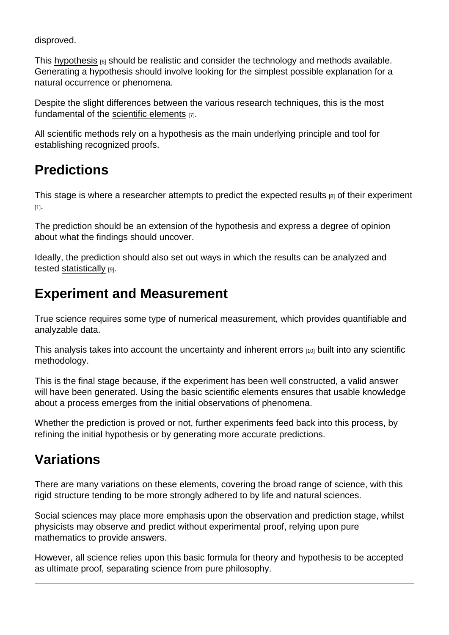disproved.

This [hypothesis](https://explorable.com/research-hypothesis)  $_{[6]}$  should be realistic and consider the technology and methods available. Generating a hypothesis should involve looking for the simplest possible explanation for a natural occurrence or phenomena.

Despite the slight differences between the various research techniques, this is the most fundamental of the [scientific elements](http://en.wikipedia.org/wiki/Scientific_method) [7].

All scientific methods rely on a hypothesis as the main underlying principle and tool for establishing recognized proofs.

# **Predictions**

This stage is where a researcher attempts to predict the expected [results](https://explorable.com/statistically-significant-results) [8] of their [experiment](https://explorable.com/conducting-an-experiment) [1].

The prediction should be an extension of the hypothesis and express a degree of opinion about what the findings should uncover.

Ideally, the prediction should also set out ways in which the results can be analyzed and tested [statistically](https://explorable.com/statistics-tutorial)  $[9]$ .

# Experiment and Measurement

True science requires some type of numerical measurement, which provides quantifiable and analyzable data.

This analysis takes into account the uncertainty and [inherent errors](https://explorable.com/systematic-error) [10] built into any scientific methodology.

This is the final stage because, if the experiment has been well constructed, a valid answer will have been generated. Using the basic scientific elements ensures that usable knowledge about a process emerges from the initial observations of phenomena.

Whether the prediction is proved or not, further experiments feed back into this process, by refining the initial hypothesis or by generating more accurate predictions.

# Variations

There are many variations on these elements, covering the broad range of science, with this rigid structure tending to be more strongly adhered to by life and natural sciences.

Social sciences may place more emphasis upon the observation and prediction stage, whilst physicists may observe and predict without experimental proof, relying upon pure mathematics to provide answers.

However, all science relies upon this basic formula for theory and hypothesis to be accepted as ultimate proof, separating science from pure philosophy.